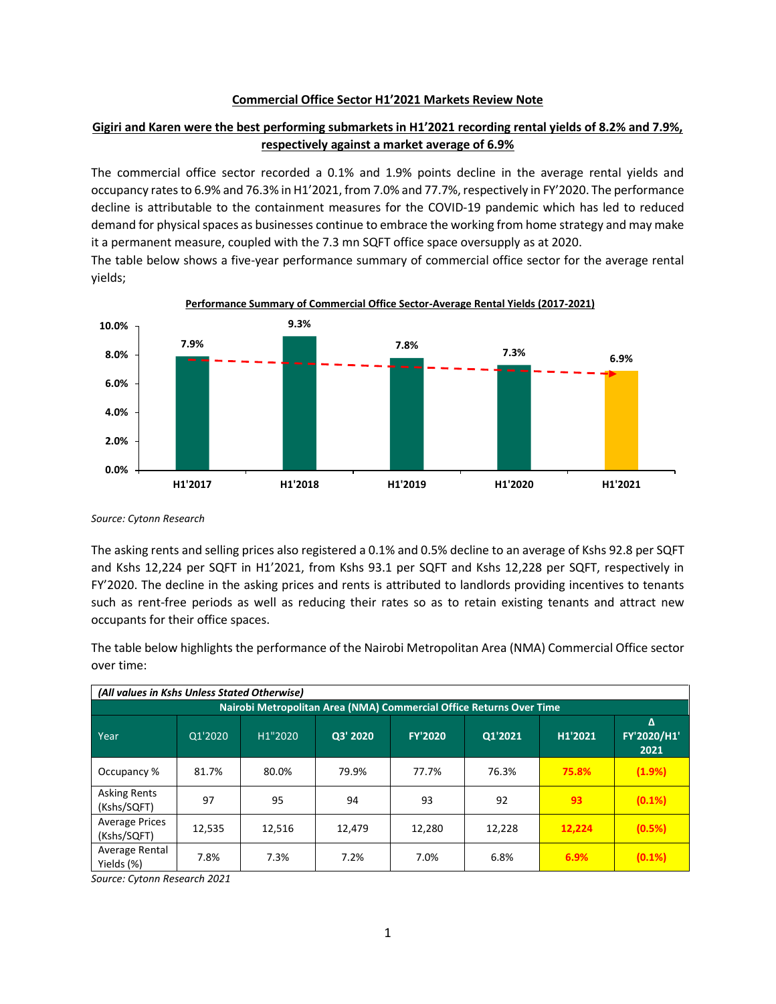## **Commercial Office Sector H1'2021 Markets Review Note**

## **Gigiri and Karen were the best performing submarkets in H1'2021 recording rental yields of 8.2% and 7.9%, respectively against a market average of 6.9%**

The commercial office sector recorded a 0.1% and 1.9% points decline in the average rental yields and occupancy rates to 6.9% and 76.3% in H1'2021, from 7.0% and 77.7%, respectively in FY'2020. The performance decline is attributable to the containment measures for the COVID-19 pandemic which has led to reduced demand for physical spaces as businesses continue to embrace the working from home strategy and may make it a permanent measure, coupled with the 7.3 mn SQFT office space oversupply as at 2020.

The table below shows a five-year performance summary of commercial office sector for the average rental yields;



*Source: Cytonn Research*

The asking rents and selling prices also registered a 0.1% and 0.5% decline to an average of Kshs 92.8 per SQFT and Kshs 12,224 per SQFT in H1'2021, from Kshs 93.1 per SQFT and Kshs 12,228 per SQFT, respectively in FY'2020. The decline in the asking prices and rents is attributed to landlords providing incentives to tenants such as rent-free periods as well as reducing their rates so as to retain existing tenants and attract new occupants for their office spaces.

The table below highlights the performance of the Nairobi Metropolitan Area (NMA) Commercial Office sector over time:

| (All values in Kshs Unless Stated Otherwise)                        |         |         |          |                |         |         |                          |  |  |  |
|---------------------------------------------------------------------|---------|---------|----------|----------------|---------|---------|--------------------------|--|--|--|
| Nairobi Metropolitan Area (NMA) Commercial Office Returns Over Time |         |         |          |                |         |         |                          |  |  |  |
| Year                                                                | Q1'2020 | H1"2020 | Q3' 2020 | <b>FY'2020</b> | Q1'2021 | H1'2021 | Δ<br>FY'2020/H1'<br>2021 |  |  |  |
| Occupancy %                                                         | 81.7%   | 80.0%   | 79.9%    | 77.7%          | 76.3%   | 75.8%   | (1.9%)                   |  |  |  |
| <b>Asking Rents</b><br>(Kshs/SQFT)                                  | 97      | 95      | 94       | 93             | 92      | 93      | $(0.1\%)$                |  |  |  |
| <b>Average Prices</b><br>(Kshs/SQFT)                                | 12,535  | 12,516  | 12,479   | 12,280         | 12,228  | 12,224  | (0.5%)                   |  |  |  |
| Average Rental<br>Yields (%)                                        | 7.8%    | 7.3%    | 7.2%     | 7.0%           | 6.8%    | 6.9%    | $(0.1\%)$                |  |  |  |

*Source: Cytonn Research 2021*